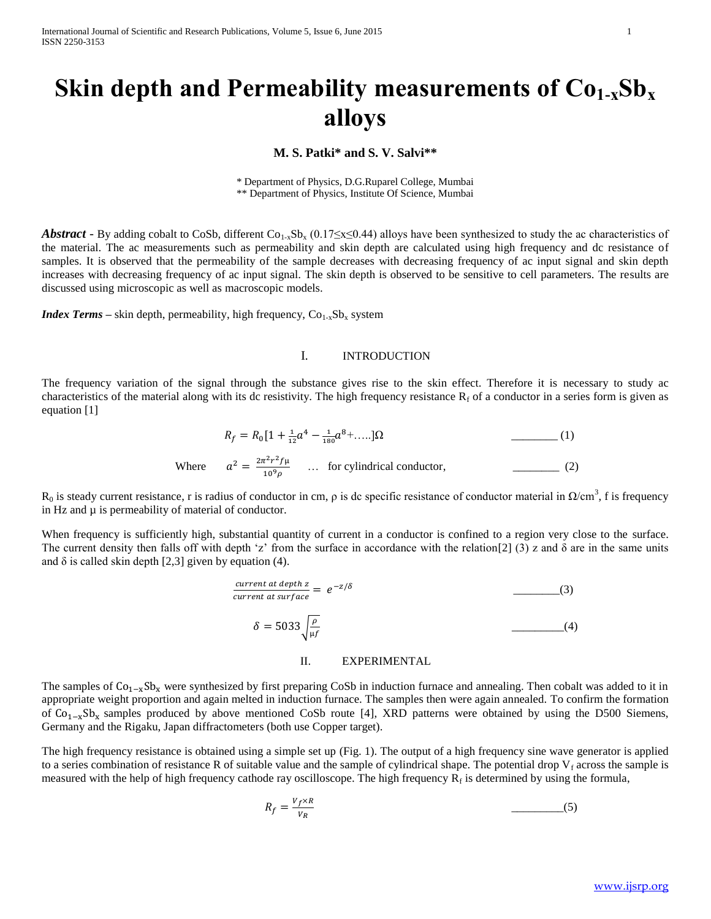# **Skin depth and Permeability measurements of Co1-xSb<sup>x</sup> alloys**

**M. S. Patki\* and S. V. Salvi\*\***

\* Department of Physics, D.G.Ruparel College, Mumbai \*\* Department of Physics, Institute Of Science, Mumbai

*Abstract* - By adding cobalt to CoSb, different Co<sub>1-x</sub>Sb<sub>x</sub> (0.17≤x≤0.44) alloys have been synthesized to study the ac characteristics of the material. The ac measurements such as permeability and skin depth are calculated using high frequency and dc resistance of samples. It is observed that the permeability of the sample decreases with decreasing frequency of ac input signal and skin depth increases with decreasing frequency of ac input signal. The skin depth is observed to be sensitive to cell parameters. The results are discussed using microscopic as well as macroscopic models.

*Index Terms* – skin depth, permeability, high frequency,  $Co_{1-x}Sb_x$  system

### I. INTRODUCTION

The frequency variation of the signal through the substance gives rise to the skin effect. Therefore it is necessary to study ac characteristics of the material along with its dc resistivity. The high frequency resistance  $R_f$  of a conductor in a series form is given as equation [1]

$$
R_f = R_0 \left[ 1 + \frac{1}{12} a^4 - \frac{1}{180} a^8 + \dots \right] \Omega \tag{1}
$$
  
Where 
$$
a^2 = \frac{2\pi^2 r^2 f \mu}{10^9 \rho} \dots \text{ for cylindrical conductor,} \tag{2}
$$

 $R_0$  is steady current resistance, r is radius of conductor in cm,  $\rho$  is dc specific resistance of conductor material in  $\Omega/cm^3$ , f is frequency in Hz and  $\mu$  is permeability of material of conductor.

When frequency is sufficiently high, substantial quantity of current in a conductor is confined to a region very close to the surface. The current density then falls off with depth 'z' from the surface in accordance with the relation[2] (3) z and  $\delta$  are in the same units and  $\delta$  is called skin depth [2,3] given by equation (4).

$$
\frac{\text{current at depth } z}{\text{current at surface}} = e^{-z/\delta} \tag{3}
$$
\n
$$
\delta = 5033 \sqrt{\frac{\rho}{\mu f}} \tag{4}
$$

#### II. EXPERIMENTAL

The samples of  $Co_{1-x}Sb_x$  were synthesized by first preparing CoSb in induction furnace and annealing. Then cobalt was added to it in appropriate weight proportion and again melted in induction furnace. The samples then were again annealed. To confirm the formation of Co<sub>1−x</sub>Sb<sub>x</sub> samples produced by above mentioned CoSb route [4], XRD patterns were obtained by using the D500 Siemens, Germany and the Rigaku, Japan diffractometers (both use Copper target).

The high frequency resistance is obtained using a simple set up (Fig. 1). The output of a high frequency sine wave generator is applied to a series combination of resistance R of suitable value and the sample of cylindrical shape. The potential drop  $V_f$  across the sample is measured with the help of high frequency cathode ray oscilloscope. The high frequency  $R_f$  is determined by using the formula,

$$
R_f = \frac{V_f \times R}{V_R} \tag{5}
$$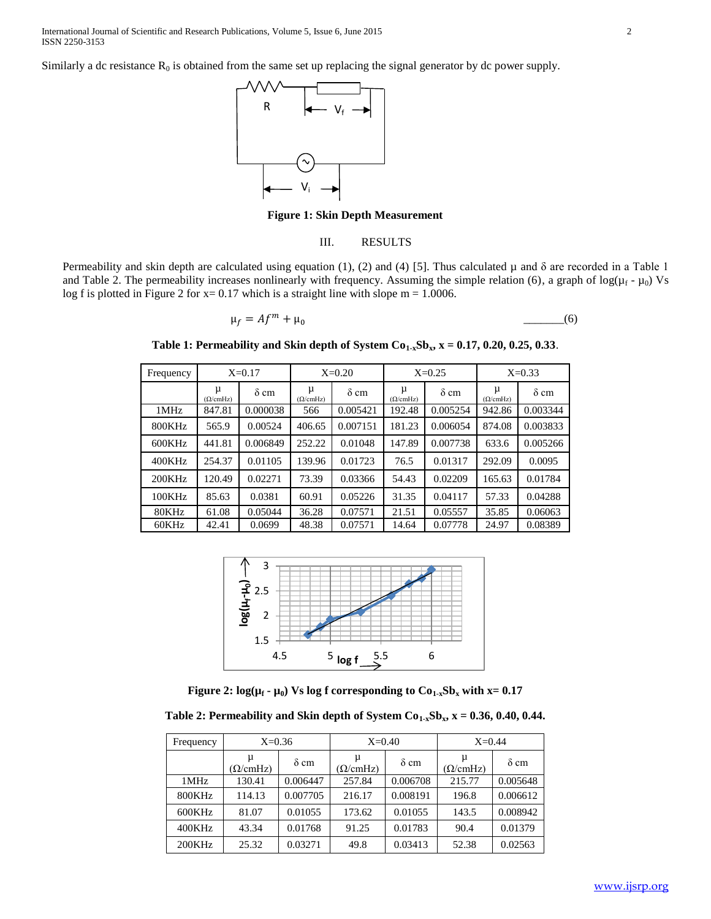Similarly a dc resistance  $R_0$  is obtained from the same set up replacing the signal generator by dc power supply.



**Figure 1: Skin Depth Measurement**

### III. RESULTS

Permeability and skin depth are calculated using equation (1), (2) and (4) [5]. Thus calculated  $\mu$  and  $\delta$  are recorded in a Table 1 and Table 2. The permeability increases nonlinearly with frequency. Assuming the simple relation (6), a graph of  $log(\mu_f - \mu_0)$  Vs log f is plotted in Figure 2 for  $x = 0.17$  which is a straight line with slope m = 1.0006.

$$
\mu_f = Af^m + \mu_0 \tag{6}
$$

**Table 1: Permeability and Skin depth of System Co1-xSbx, x = 0.17, 0.20, 0.25, 0.33**.

| Frequency | $X=0.17$      |             | $X=0.20$      |             | $X=0.25$      |             | $X=0.33$      |             |
|-----------|---------------|-------------|---------------|-------------|---------------|-------------|---------------|-------------|
|           | μ<br>(Q/cmHz) | $\delta$ cm | μ<br>(Q/cmHz) | $\delta$ cm | μ<br>(Q/cmHz) | $\delta$ cm | μ<br>(Q/cmHz) | $\delta$ cm |
| 1MHz      | 847.81        | 0.000038    | 566           | 0.005421    | 192.48        | 0.005254    | 942.86        | 0.003344    |
| 800KHz    | 565.9         | 0.00524     | 406.65        | 0.007151    | 181.23        | 0.006054    | 874.08        | 0.003833    |
| 600KHz    | 441.81        | 0.006849    | 252.22        | 0.01048     | 147.89        | 0.007738    | 633.6         | 0.005266    |
| 400KHz    | 254.37        | 0.01105     | 139.96        | 0.01723     | 76.5          | 0.01317     | 292.09        | 0.0095      |
| 200KHz    | 120.49        | 0.02271     | 73.39         | 0.03366     | 54.43         | 0.02209     | 165.63        | 0.01784     |
| 100KHz    | 85.63         | 0.0381      | 60.91         | 0.05226     | 31.35         | 0.04117     | 57.33         | 0.04288     |
| 80KHz     | 61.08         | 0.05044     | 36.28         | 0.07571     | 21.51         | 0.05557     | 35.85         | 0.06063     |
| 60KHz     | 42.41         | 0.0699      | 48.38         | 0.07571     | 14.64         | 0.07778     | 24.97         | 0.08389     |



**Figure 2:**  $log(\mu_f - \mu_0)$  Vs log f corresponding to  $Co_{1-x}Sb_x$  with  $x=0.17$ 

**Table 2: Permeability and Skin depth of System**  $Co<sub>1-x</sub>Sh<sub>x</sub>$ **,**  $x = 0.36, 0.40, 0.44$ **.** 

| Frequency | $X=0.36$             |             | $X=0.40$             |             | $X=0.44$             |             |
|-----------|----------------------|-------------|----------------------|-------------|----------------------|-------------|
|           | μ<br>$(\Omega/cmHz)$ | $\delta$ cm | μ<br>$(\Omega/cmHz)$ | $\delta$ cm | μ<br>$(\Omega/cmHz)$ | $\delta$ cm |
| 1MHz      | 130.41               | 0.006447    | 257.84               | 0.006708    | 215.77               | 0.005648    |
| 800KHz    | 114.13               | 0.007705    | 216.17               | 0.008191    | 196.8                | 0.006612    |
| 600KHz    | 81.07                | 0.01055     | 173.62               | 0.01055     | 143.5                | 0.008942    |
| 400KHz    | 43.34                | 0.01768     | 91.25                | 0.01783     | 90.4                 | 0.01379     |
| 200KHz    | 25.32                | 0.03271     | 49.8                 | 0.03413     | 52.38                | 0.02563     |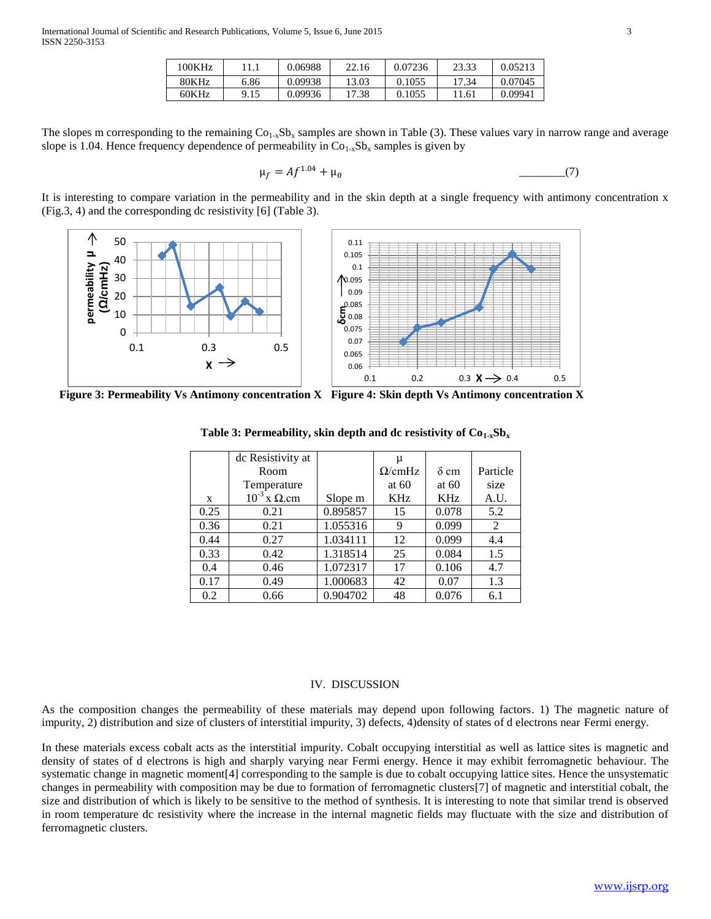| 00KHz |      | 0.06988 | 22.16 | 0.07236 | 23.33 | 0.05213 |
|-------|------|---------|-------|---------|-------|---------|
| 80KHz | 6.86 | 0.09938 | 13.03 | 0.1055  | 17.34 | 0.07045 |
| 60KHz | 9.15 | 0.09936 | 17.38 | 0.1055  | !1.61 | 0.09941 |

The slopes m corresponding to the remaining  $Co_{1-x}Sb_x$  samples are shown in Table (3). These values vary in narrow range and average slope is 1.04. Hence frequency dependence of permeability in  $Co<sub>1-x</sub>Sb<sub>x</sub>$  samples is given by

$$
\mu_f = Af^{1.04} + \mu_0 \tag{7}
$$

It is interesting to compare variation in the permeability and in the skin depth at a single frequency with antimony concentration x (Fig.3, 4) and the corresponding dc resistivity [6] (Table 3).



**Figure 3: Permeability Vs Antimony concentration X Figure 4: Skin depth Vs Antimony concentration X**

|      | dc Resistivity at        |          | μ              |             |          |
|------|--------------------------|----------|----------------|-------------|----------|
|      | Room                     |          | $\Omega$ /cmHz | $\delta$ cm | Particle |
|      | Temperature              |          | at $60$        | at $60$     | size     |
| X    | $10^{-3}$ x $\Omega$ .cm | Slope m  | <b>KHz</b>     | <b>KHz</b>  | A.U.     |
| 0.25 | 0.21                     | 0.895857 | 15             | 0.078       | 5.2      |
| 0.36 | 0.21                     | 1.055316 | 9              | 0.099       | 2        |
| 0.44 | 0.27                     | 1.034111 | 12             | 0.099       | 4.4      |
| 0.33 | 0.42                     | 1.318514 | 25             | 0.084       | 1.5      |
| 0.4  | 0.46                     | 1.072317 | 17             | 0.106       | 4.7      |
| 0.17 | 0.49                     | 1.000683 | 42             | 0.07        | 1.3      |
| 0.2  | 0.66                     | 0.904702 | 48             | 0.076       | 6.1      |

**Table 3: Permeability, skin depth and dc resistivity of**  $Co_{1-x}Sb_x$ 

## IV. DISCUSSION

As the composition changes the permeability of these materials may depend upon following factors. 1) The magnetic nature of impurity, 2) distribution and size of clusters of interstitial impurity, 3) defects, 4)density of states of d electrons near Fermi energy.

In these materials excess cobalt acts as the interstitial impurity. Cobalt occupying interstitial as well as lattice sites is magnetic and density of states of d electrons is high and sharply varying near Fermi energy. Hence it may exhibit ferromagnetic behaviour. The systematic change in magnetic moment[4] corresponding to the sample is due to cobalt occupying lattice sites. Hence the unsystematic changes in permeability with composition may be due to formation of ferromagnetic clusters[7] of magnetic and interstitial cobalt, the size and distribution of which is likely to be sensitive to the method of synthesis. It is interesting to note that similar trend is observed in room temperature dc resistivity where the increase in the internal magnetic fields may fluctuate with the size and distribution of ferromagnetic clusters.